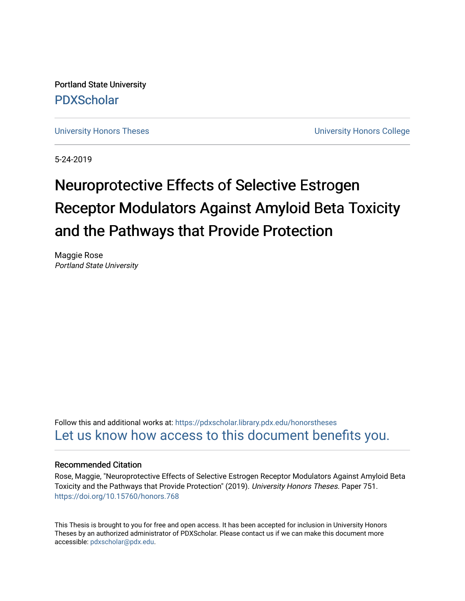Portland State University [PDXScholar](https://pdxscholar.library.pdx.edu/)

[University Honors Theses](https://pdxscholar.library.pdx.edu/honorstheses) **University Honors College** 

5-24-2019

# Neuroprotective Effects of Selective Estrogen Receptor Modulators Against Amyloid Beta Toxicity and the Pathways that Provide Protection

Maggie Rose Portland State University

Follow this and additional works at: [https://pdxscholar.library.pdx.edu/honorstheses](https://pdxscholar.library.pdx.edu/honorstheses?utm_source=pdxscholar.library.pdx.edu%2Fhonorstheses%2F751&utm_medium=PDF&utm_campaign=PDFCoverPages)  [Let us know how access to this document benefits you.](http://library.pdx.edu/services/pdxscholar-services/pdxscholar-feedback/) 

#### Recommended Citation

Rose, Maggie, "Neuroprotective Effects of Selective Estrogen Receptor Modulators Against Amyloid Beta Toxicity and the Pathways that Provide Protection" (2019). University Honors Theses. Paper 751. <https://doi.org/10.15760/honors.768>

This Thesis is brought to you for free and open access. It has been accepted for inclusion in University Honors Theses by an authorized administrator of PDXScholar. Please contact us if we can make this document more accessible: [pdxscholar@pdx.edu.](mailto:pdxscholar@pdx.edu)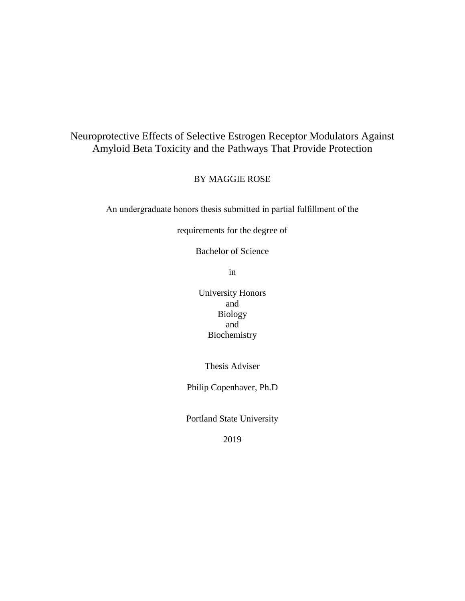## Neuroprotective Effects of Selective Estrogen Receptor Modulators Against Amyloid Beta Toxicity and the Pathways That Provide Protection

BY MAGGIE ROSE

An undergraduate honors thesis submitted in partial fulfillment of the

requirements for the degree of

Bachelor of Science

in

University Honors and Biology and Biochemistry

Thesis Adviser

Philip Copenhaver, Ph.D

Portland State University

2019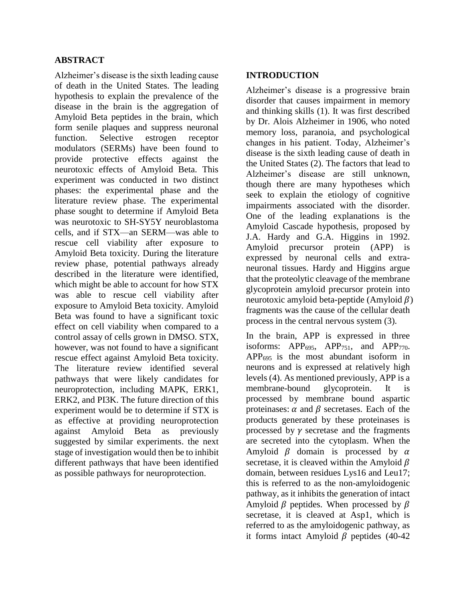#### **ABSTRACT**

Alzheimer's disease is the sixth leading cause of death in the United States. The leading hypothesis to explain the prevalence of the disease in the brain is the aggregation of Amyloid Beta peptides in the brain, which form senile plaques and suppress neuronal function. Selective estrogen receptor modulators (SERMs) have been found to provide protective effects against the neurotoxic effects of Amyloid Beta. This experiment was conducted in two distinct phases: the experimental phase and the literature review phase. The experimental phase sought to determine if Amyloid Beta was neurotoxic to SH-SY5Y neuroblastoma cells, and if STX—an SERM—was able to rescue cell viability after exposure to Amyloid Beta toxicity. During the literature review phase, potential pathways already described in the literature were identified, which might be able to account for how STX was able to rescue cell viability after exposure to Amyloid Beta toxicity. Amyloid Beta was found to have a significant toxic effect on cell viability when compared to a control assay of cells grown in DMSO. STX, however, was not found to have a significant rescue effect against Amyloid Beta toxicity. The literature review identified several pathways that were likely candidates for neuroprotection, including MAPK, ERK1, ERK2, and PI3K. The future direction of this experiment would be to determine if STX is as effective at providing neuroprotection against Amyloid Beta as previously suggested by similar experiments. the next stage of investigation would then be to inhibit different pathways that have been identified as possible pathways for neuroprotection.

#### **INTRODUCTION**

Alzheimer's disease is a progressive brain disorder that causes impairment in memory and thinking skills (1). It was first described by Dr. Alois Alzheimer in 1906, who noted memory loss, paranoia, and psychological changes in his patient. Today, Alzheimer's disease is the sixth leading cause of death in the United States (2). The factors that lead to Alzheimer's disease are still unknown, though there are many hypotheses which seek to explain the etiology of cognitive impairments associated with the disorder. One of the leading explanations is the Amyloid Cascade hypothesis, proposed by J.A. Hardy and G.A. Higgins in 1992. Amyloid precursor protein (APP) is expressed by neuronal cells and extraneuronal tissues. Hardy and Higgins argue that the proteolytic cleavage of the membrane glycoprotein amyloid precursor protein into neurotoxic amyloid beta-peptide (Amyloid  $\beta$ ) fragments was the cause of the cellular death process in the central nervous system (3).

In the brain, APP is expressed in three isoforms:  $APP<sub>695</sub>, APP<sub>751</sub>, and APP<sub>770</sub>.$  $APP<sub>695</sub>$  is the most abundant isoform in neurons and is expressed at relatively high levels (4). As mentioned previously, APP is a membrane-bound glycoprotein. It is processed by membrane bound aspartic proteinases:  $\alpha$  and  $\beta$  secretases. Each of the products generated by these proteinases is processed by  $\gamma$  secretase and the fragments are secreted into the cytoplasm. When the Amyloid  $\beta$  domain is processed by  $\alpha$ secretase, it is cleaved within the Amyloid  $\beta$ domain, between residues Lys16 and Leu17; this is referred to as the non-amyloidogenic pathway, as it inhibits the generation of intact Amyloid  $\beta$  peptides. When processed by  $\beta$ secretase, it is cleaved at Asp1, which is referred to as the amyloidogenic pathway, as it forms intact Amyloid  $\beta$  peptides (40-42)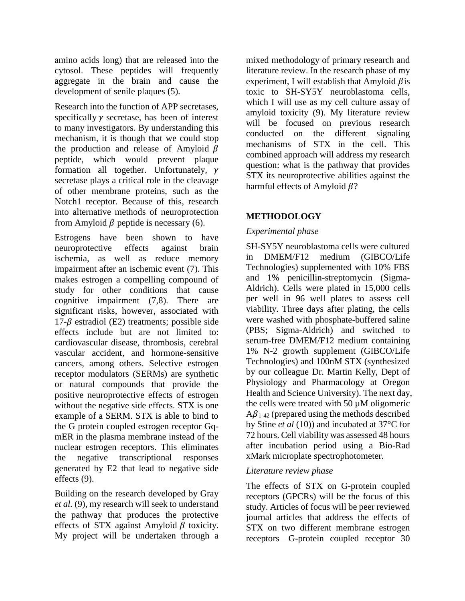amino acids long) that are released into the cytosol. These peptides will frequently aggregate in the brain and cause the development of senile plaques (5).

Research into the function of APP secretases, specifically  $\gamma$  secretase, has been of interest to many investigators. By understanding this mechanism, it is though that we could stop the production and release of Amyloid  $\beta$ peptide, which would prevent plaque formation all together. Unfortunately,  $\gamma$ secretase plays a critical role in the cleavage of other membrane proteins, such as the Notch1 receptor. Because of this, research into alternative methods of neuroprotection from Amyloid  $\beta$  peptide is necessary (6).

Estrogens have been shown to have neuroprotective effects against brain ischemia, as well as reduce memory impairment after an ischemic event (7). This makes estrogen a compelling compound of study for other conditions that cause cognitive impairment (7,8). There are significant risks, however, associated with  $17-\beta$  estradiol (E2) treatments; possible side effects include but are not limited to: cardiovascular disease, thrombosis, cerebral vascular accident, and hormone-sensitive cancers, among others. Selective estrogen receptor modulators (SERMs) are synthetic or natural compounds that provide the positive neuroprotective effects of estrogen without the negative side effects. STX is one example of a SERM. STX is able to bind to the G protein coupled estrogen receptor GqmER in the plasma membrane instead of the nuclear estrogen receptors. This eliminates the negative transcriptional responses generated by E2 that lead to negative side effects (9).

Building on the research developed by Gray *et al.* (9)*,* my research will seek to understand the pathway that produces the protective effects of STX against Amyloid  $\beta$  toxicity. My project will be undertaken through a

mixed methodology of primary research and literature review. In the research phase of my experiment, I will establish that Amyloid  $\beta$  is toxic to SH-SY5Y neuroblastoma cells, which I will use as my cell culture assay of amyloid toxicity (9). My literature review will be focused on previous research conducted on the different signaling mechanisms of STX in the cell. This combined approach will address my research question: what is the pathway that provides STX its neuroprotective abilities against the harmful effects of Amyloid  $\beta$ ?

### **METHODOLOGY**

#### *Experimental phase*

SH-SY5Y neuroblastoma cells were cultured in DMEM/F12 medium (GIBCO/Life Technologies) supplemented with 10% FBS and 1% penicillin-streptomycin (Sigma-Aldrich). Cells were plated in 15,000 cells per well in 96 well plates to assess cell viability. Three days after plating, the cells were washed with phosphate-buffered saline (PBS; Sigma-Aldrich) and switched to serum-free DMEM/F12 medium containing 1% N-2 growth supplement (GIBCO/Life Technologies) and 100nM STX (synthesized by our colleague Dr. Martin Kelly, Dept of Physiology and Pharmacology at Oregon Health and Science University). The next day, the cells were treated with 50 µM oligomeric  $A\beta_{1-42}$  (prepared using the methods described by Stine *et al* (10)) and incubated at 37°C for 72 hours. Cell viability was assessed 48 hours after incubation period using a Bio-Rad xMark microplate spectrophotometer.

#### *Literature review phase*

The effects of STX on G-protein coupled receptors (GPCRs) will be the focus of this study. Articles of focus will be peer reviewed journal articles that address the effects of STX on two different membrane estrogen receptors—G-protein coupled receptor 30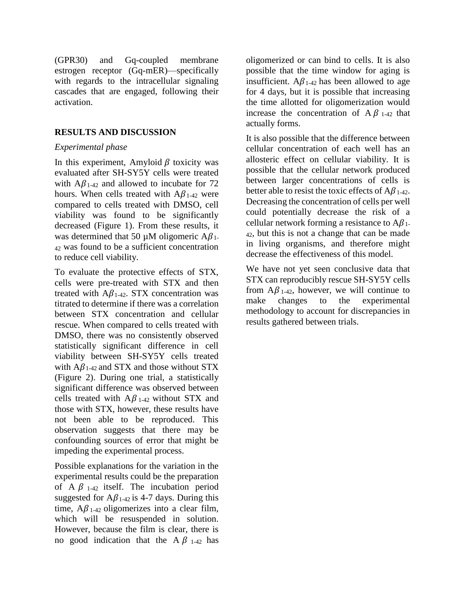(GPR30) and Gq-coupled membrane estrogen receptor (Gq-mER)—specifically with regards to the intracellular signaling cascades that are engaged, following their activation.

#### **RESULTS AND DISCUSSION**

#### *Experimental phase*

In this experiment, Amyloid  $\beta$  toxicity was evaluated after SH-SY5Y cells were treated with  $A\beta_{1-42}$  and allowed to incubate for 72 hours. When cells treated with  $A\beta_{1-42}$  were compared to cells treated with DMSO, cell viability was found to be significantly decreased (Figure 1). From these results, it was determined that 50  $\mu$ M oligomeric A $\beta$ <sub>1</sub>. <sup>42</sup> was found to be a sufficient concentration to reduce cell viability.

To evaluate the protective effects of STX, cells were pre-treated with STX and then treated with  $A\beta_{1-42}$ . STX concentration was titrated to determine if there was a correlation between STX concentration and cellular rescue. When compared to cells treated with DMSO, there was no consistently observed statistically significant difference in cell viability between SH-SY5Y cells treated with  $A\beta_{1-42}$  and STX and those without STX (Figure 2). During one trial, a statistically significant difference was observed between cells treated with  $A\beta_{1-42}$  without STX and those with STX, however, these results have not been able to be reproduced. This observation suggests that there may be confounding sources of error that might be impeding the experimental process.

Possible explanations for the variation in the experimental results could be the preparation of A  $\beta$  1-42 itself. The incubation period suggested for  $A\beta_{1-42}$  is 4-7 days. During this time,  $A\beta_{1-42}$  oligomerizes into a clear film, which will be resuspended in solution. However, because the film is clear, there is no good indication that the A  $\beta$  1-42 has oligomerized or can bind to cells. It is also possible that the time window for aging is insufficient.  $A\beta_{1-42}$  has been allowed to age for 4 days, but it is possible that increasing the time allotted for oligomerization would increase the concentration of  $A \beta_{1-42}$  that actually forms.

It is also possible that the difference between cellular concentration of each well has an allosteric effect on cellular viability. It is possible that the cellular network produced between larger concentrations of cells is better able to resist the toxic effects of  $A\beta_{1-42}$ . Decreasing the concentration of cells per well could potentially decrease the risk of a cellular network forming a resistance to  $A\beta_{1}$ . <sup>42</sup>, but this is not a change that can be made in living organisms, and therefore might decrease the effectiveness of this model.

We have not yet seen conclusive data that STX can reproducibly rescue SH-SY5Y cells from  $A\beta_{1-42}$ , however, we will continue to make changes to the experimental methodology to account for discrepancies in results gathered between trials.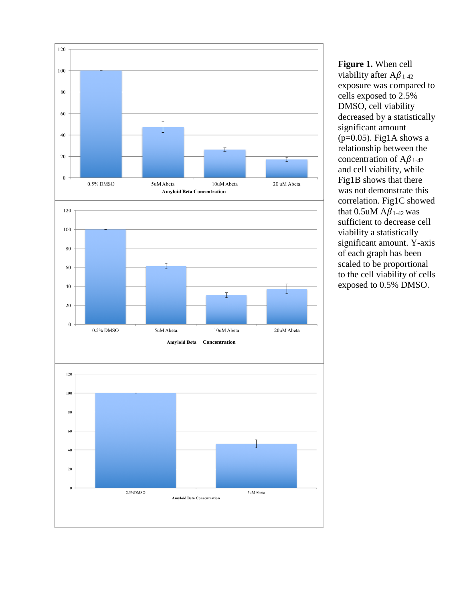

**Figure 1.** When cell viability after  $A\beta_{1-42}$ exposure was compared to cells exposed to 2.5% DMSO, cell viability decreased by a statistically significant amount ( $p=0.05$ ). Fig1A shows a relationship between the concentration of  $A\beta_{1-42}$ and cell viability, while Fig1B shows that there was not demonstrate this correlation. Fig1C showed that  $0.5$ uM  $A\beta_{1-42}$  was sufficient to decrease cell viability a statistically significant amount. Y -axis of each graph has been scaled to be proportional to the cell viability of cells exposed to 0.5% DMSO.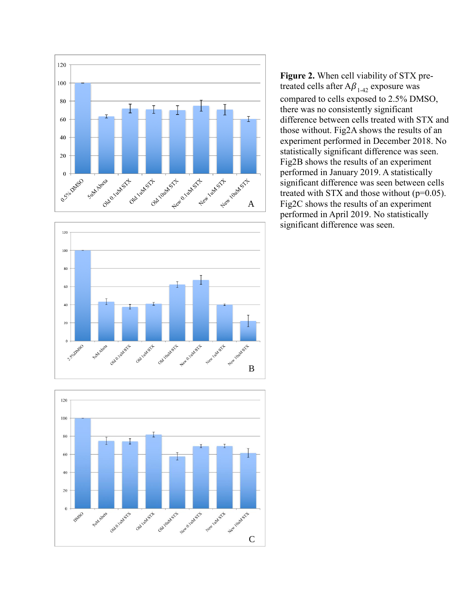





**Figure 2.** When cell viability of STX pretreated cells after  $A\beta_{1-42}$  exposure was compared to cells exposed to 2.5% DMSO, there was no consistently significant difference between cells treated with STX and those without. Fig2A shows the results of an experiment performed in December 2018. No statistically significant difference was seen. Fig2B shows the results of an experiment performed in January 2019. A statistically significant difference was seen between cells treated with STX and those without  $(p=0.05)$ . Fig2C shows the results of an experiment performed in April 2019. No statistically significant difference was seen.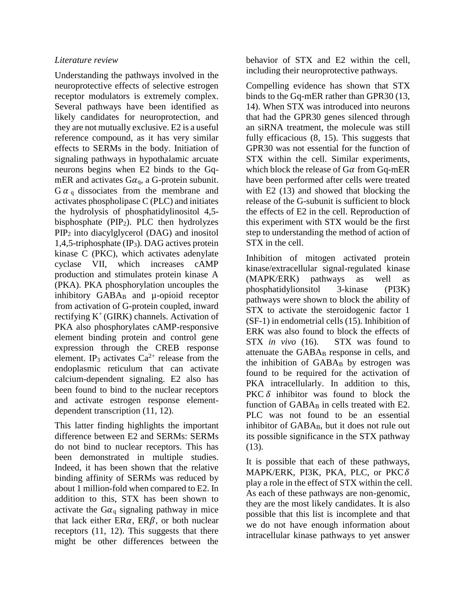#### *Literature review*

Understanding the pathways involved in the neuroprotective effects of selective estrogen receptor modulators is extremely complex. Several pathways have been identified as likely candidates for neuroprotection, and they are not mutually exclusive. E2 is a useful reference compound, as it has very similar effects to SERMs in the body. Initiation of signaling pathways in hypothalamic arcuate neurons begins when E2 binds to the GqmER and activates  $Ga_{q}$ , a G-protein subunit.  $G \alpha_q$  dissociates from the membrane and activates phospholipase C (PLC) and initiates the hydrolysis of phosphatidylinositol 4,5 bisphosphate  $(PIP_2)$ . PLC then hydrolyzes PIP<sup>2</sup> into diacylglycerol (DAG) and inositol 1,4,5-triphosphate (IP3). DAG actives protein kinase C (PKC), which activates adenylate cyclase VII, which increases cAMP production and stimulates protein kinase A (PKA). PKA phosphorylation uncouples the inhibitory GABA<sub>B</sub> and  $\mu$ -opioid receptor from activation of G-protein coupled, inward rectifying  $K^+$  (GIRK) channels. Activation of PKA also phosphorylates cAMP-responsive element binding protein and control gene expression through the CREB response element. IP<sub>3</sub> activates  $Ca^{2+}$  release from the endoplasmic reticulum that can activate calcium-dependent signaling. E2 also has been found to bind to the nuclear receptors and activate estrogen response elementdependent transcription (11, 12).

This latter finding highlights the important difference between E2 and SERMs: SERMs do not bind to nuclear receptors. This has been demonstrated in multiple studies. Indeed, it has been shown that the relative binding affinity of SERMs was reduced by about 1 million-fold when compared to E2. In addition to this, STX has been shown to activate the  $G\alpha_{q}$  signaling pathway in mice that lack either  $ER\alpha$ ,  $ER\beta$ , or both nuclear receptors (11, 12). This suggests that there might be other differences between the

behavior of STX and E2 within the cell, including their neuroprotective pathways.

Compelling evidence has shown that STX binds to the Gq-mER rather than GPR30 (13, 14). When STX was introduced into neurons that had the GPR30 genes silenced through an siRNA treatment, the molecule was still fully efficacious (8, 15). This suggests that GPR30 was not essential for the function of STX within the cell. Similar experiments, which block the release of  $G\alpha$  from  $Gq$ -mER have been performed after cells were treated with E2  $(13)$  and showed that blocking the release of the G-subunit is sufficient to block the effects of E2 in the cell. Reproduction of this experiment with STX would be the first step to understanding the method of action of STX in the cell.

Inhibition of mitogen activated protein kinase/extracellular signal-regulated kinase (MAPK/ERK) pathways as well as phosphatidylionsitol 3-kinase (PI3K) pathways were shown to block the ability of STX to activate the steroidogenic factor 1 (SF-1) in endometrial cells (15). Inhibition of ERK was also found to block the effects of STX *in vivo* (16). STX was found to attenuate the GABA<sub>B</sub> response in cells, and the inhibition of  $GABA_B$  by estrogen was found to be required for the activation of PKA intracellularly. In addition to this, PKC  $\delta$  inhibitor was found to block the function of GABA<sub>B</sub> in cells treated with E2. PLC was not found to be an essential inhibitor of GABA<sub>B</sub>, but it does not rule out its possible significance in the STX pathway  $(13)$ .

It is possible that each of these pathways, MAPK/ERK, PI3K, PKA, PLC, or PKC $\delta$ play a role in the effect of STX within the cell. As each of these pathways are non-genomic, they are the most likely candidates. It is also possible that this list is incomplete and that we do not have enough information about intracellular kinase pathways to yet answer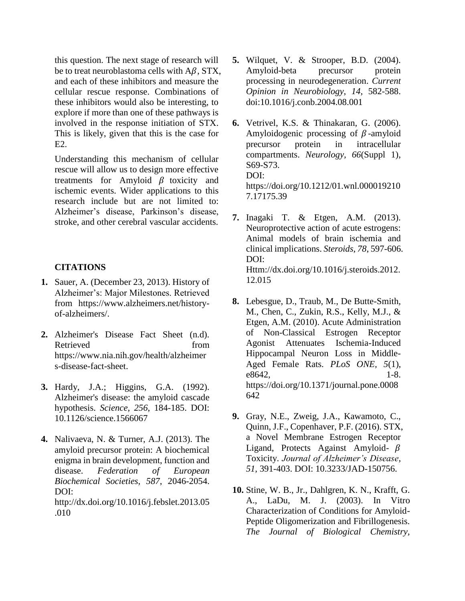this question. The next stage of research will be to treat neuroblastoma cells with  $A\beta$ , STX, and each of these inhibitors and measure the cellular rescue response. Combinations of these inhibitors would also be interesting, to explore if more than one of these pathways is involved in the response initiation of STX. This is likely, given that this is the case for E2.

Understanding this mechanism of cellular rescue will allow us to design more effective treatments for Amyloid  $\beta$  toxicity and ischemic events. Wider applications to this research include but are not limited to: Alzheimer's disease, Parkinson's disease, stroke, and other cerebral vascular accidents.

#### **CITATIONS**

- **1.** Sauer, A. (December 23, 2013). History of Alzheimer's: Major Milestones. Retrieved from [https://www.alzheimers.net/history](https://www.alzheimers.net/history-of-alzheimers/)[of-alzheimers/.](https://www.alzheimers.net/history-of-alzheimers/)
- **2.** Alzheimer's Disease Fact Sheet (n.d). Retrieved from https://www.nia.nih.gov/health/alzheimer s-disease-fact-sheet.
- **3.** Hardy, J.A.; Higgins, G.A. (1992). Alzheimer's disease: the amyloid cascade hypothesis. *Science, 256*, 184-185. DOI: 10.1126/science.1566067
- **4.** Nalivaeva, N. & Turner, A.J. (2013). The amyloid precursor protein: A biochemical enigma in brain development, function and disease. *Federation of European Biochemical Societies, 587*, 2046-2054. DOI: http://dx.doi.org/10.1016/j.febslet.2013.05 .010
- **5.** Wilquet, V. & Strooper, B.D. (2004). Amyloid-beta precursor protein processing in neurodegeneration. *Current Opinion in Neurobiology*, *14*, 582-588. doi:10.1016/j.conb.2004.08.001
- **6.** Vetrivel, K.S. & Thinakaran, G. (2006). Amyloidogenic processing of  $\beta$ -amyloid precursor protein in intracellular compartments. *Neurology, 66*(Suppl 1), S69-S73. DOI: https://doi.org/10.1212/01.wnl.000019210 7.17175.39
- **7.** Inagaki T. & Etgen, A.M. (2013). Neuroprotective action of acute estrogens: Animal models of brain ischemia and clinical implications. *Steroids, 78*, 597-606. DOI: Httm://dx.doi.org/10.1016/j.steroids.2012. 12.015
- **8.** Lebesgue, D., Traub, M., De Butte-Smith, M., Chen, C., Zukin, R.S., Kelly, M.J., & Etgen, A.M. (2010). Acute Administration of Non-Classical Estrogen Receptor Agonist Attenuates Ischemia-Induced Hippocampal Neuron Loss in Middle-Aged Female Rats. *PLoS ONE, 5*(1), e8642, 1-8. https://doi.org/10.1371/journal.pone.0008 642
- **9.** Gray, N.E., Zweig, J.A., Kawamoto, C., Quinn, J.F., Copenhaver, P.F. (2016). STX, a Novel Membrane Estrogen Receptor Ligand, Protects Against Amyloid-  $\beta$ Toxicity. *Journal of Alzheimer's Disease*, *51*, 391-403. DOI: 10.3233/JAD-150756.
- **10.** Stine, W. B., Jr., Dahlgren, K. N., Krafft, G. A., LaDu, M. J. (2003). In Vitro Characterization of Conditions for Amyloid-Peptide Oligomerization and Fibrillogenesis. *The Journal of Biological Chemistry,*